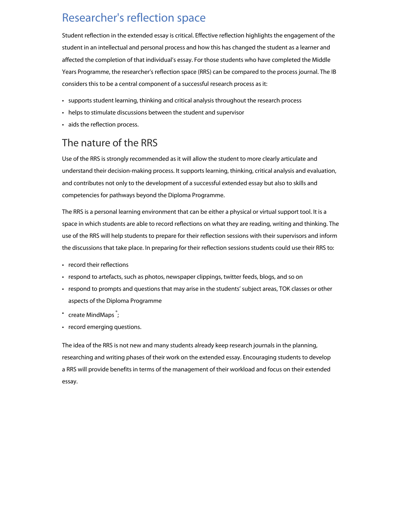# Researcher's reflection space

Student reflection in the extended essay is critical. Effective reflection highlights the engagement of the student in an intellectual and personal process and how this has changed the student as a learner and affected the completion of that individual's essay. For those students who have completed the Middle Years Programme, the researcher's reflection space (RRS) can be compared to the process journal. The IB considers this to be a central component of a successful research process as it:

- supports student learning, thinking and critical analysis throughout the research process
- helps to stimulate discussions between the student and supervisor
- aids the reflection process.

## The nature of the RRS

Use of the RRS is strongly recommended as it will allow the student to more clearly articulate and understand their decision-making process. It supports learning, thinking, critical analysis and evaluation, and contributes not only to the development of a successful extended essay but also to skills and competencies for pathways beyond the Diploma Programme.

The RRS is a personal learning environment that can be either a physical or virtual support tool. It is a space in which students are able to record reflections on what they are reading, writing and thinking. The use of the RRS will help students to prepare for their reflection sessions with their supervisors and inform the discussions that take place. In preparing for their reflection sessions students could use their RRS to:

- record their reflections
- respond to artefacts, such as photos, newspaper clippings, twitter feeds, blogs, and so on
- respond to prompts and questions that may arise in the students' subject areas, TOK classes or other aspects of the Diploma Programme
- create MindMaps  $\degree$ ;
- record emerging questions.

The idea of the RRS is not new and many students already keep research journals in the planning, researching and writing phases of their work on the extended essay. Encouraging students to develop a RRS will provide benefits in terms of the management of their workload and focus on their extended essay.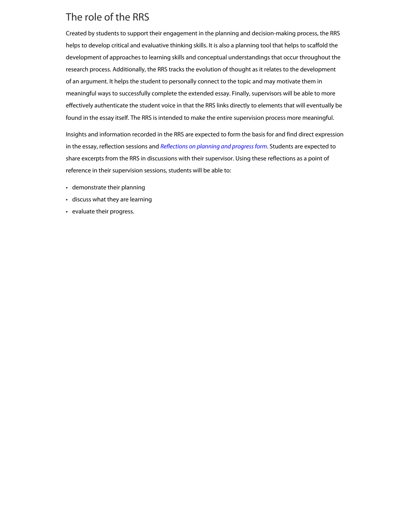## The role of the RRS

Created by students to support their engagement in the planning and decision-making process, the RRS helps to develop critical and evaluative thinking skills. It is also a planning tool that helps to scaffold the development of approaches to learning skills and conceptual understandings that occur throughout the research process. Additionally, the RRS tracks the evolution of thought as it relates to the development of an argument. It helps the student to personally connect to the topic and may motivate them in meaningful ways to successfully complete the extended essay. Finally, supervisors will be able to more effectively authenticate the student voice in that the RRS links directly to elements that will eventually be found in the essay itself. The RRS is intended to make the entire supervision process more meaningful.

Insights and information recorded in the RRS are expected to form the basis for and find direct expression in the essay, reflection sessions and *[Reflections on planning and progress form](http://xmltwo.ibo.org/publications/DP/Group0/d_0_eeyyy_gui_1602_1/Forms/RPPF_e.pdf)*. Students are expected to share excerpts from the RRS in discussions with their supervisor. Using these reflections as a point of reference in their supervision sessions, students will be able to:

- demonstrate their planning
- discuss what they are learning
- evaluate their progress.